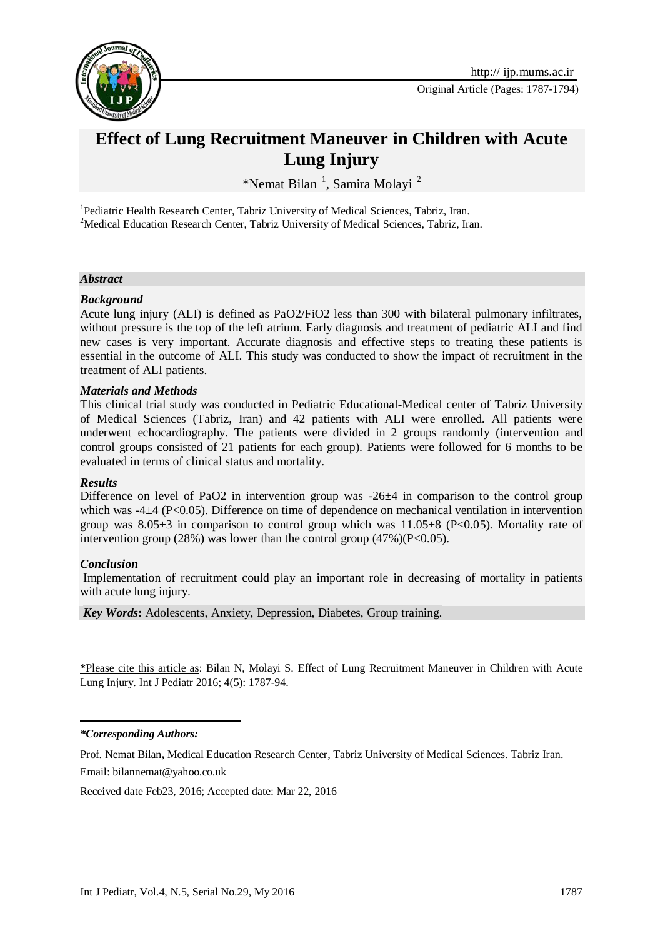

Original Article (Pages: 1787-1794)

# **Effect of Lung Recruitment Maneuver in Children with Acute Lung Injury**

\*Nemat Bilan<sup>1</sup>, Samira Molayi<sup>2</sup>

<sup>1</sup>Pediatric Health Research Center, Tabriz University of Medical Sciences, Tabriz, Iran. <sup>2</sup>Medical Education Research Center, Tabriz University of Medical Sciences, Tabriz, Iran.

### *Abstract*

### *Background*

Acute lung injury (ALI) is defined as PaO2/FiO2 less than 300 with bilateral pulmonary infiltrates, without pressure is the top of the left atrium. Early diagnosis and treatment of pediatric ALI and find new cases is very important. Accurate diagnosis and effective steps to treating these patients is essential in the outcome of ALI. This study was conducted to show the impact of recruitment in the treatment of ALI patients.

### *Materials and Methods*

This clinical trial study was conducted in Pediatric Educational-Medical center of Tabriz University of Medical Sciences (Tabriz, Iran) and 42 patients with ALI were enrolled. All patients were underwent echocardiography. The patients were divided in 2 groups randomly (intervention and control groups consisted of 21 patients for each group). Patients were followed for 6 months to be evaluated in terms of clinical status and mortality.

## *Results*

Difference on level of PaO2 in intervention group was -26 $\pm$ 4 in comparison to the control group which was -4±4 (P<0.05). Difference on time of dependence on mechanical ventilation in intervention group was  $8.05\pm3$  in comparison to control group which was  $11.05\pm8$  (P<0.05). Mortality rate of intervention group (28%) was lower than the control group (47%)( $P<0.05$ ).

### *Conclusion*

Implementation of recruitment could play an important role in decreasing of mortality in patients with acute lung injury.

*Key Words***:** Adolescents, Anxiety, Depression, Diabetes, Group training.

\*Please cite this article as: Bilan N, Molayi S. Effect of Lung Recruitment Maneuver in Children with Acute Lung Injury. Int J Pediatr 2016; 4(5): 1787-94.

### 1 *\*Corresponding Authors:*

Prof. Nemat Bilan**,** Medical Education Research Center, Tabriz University of Medical Sciences. Tabriz Iran. Email: bilannemat@yahoo.co.uk

Received date Feb23, 2016; Accepted date: Mar 22, 2016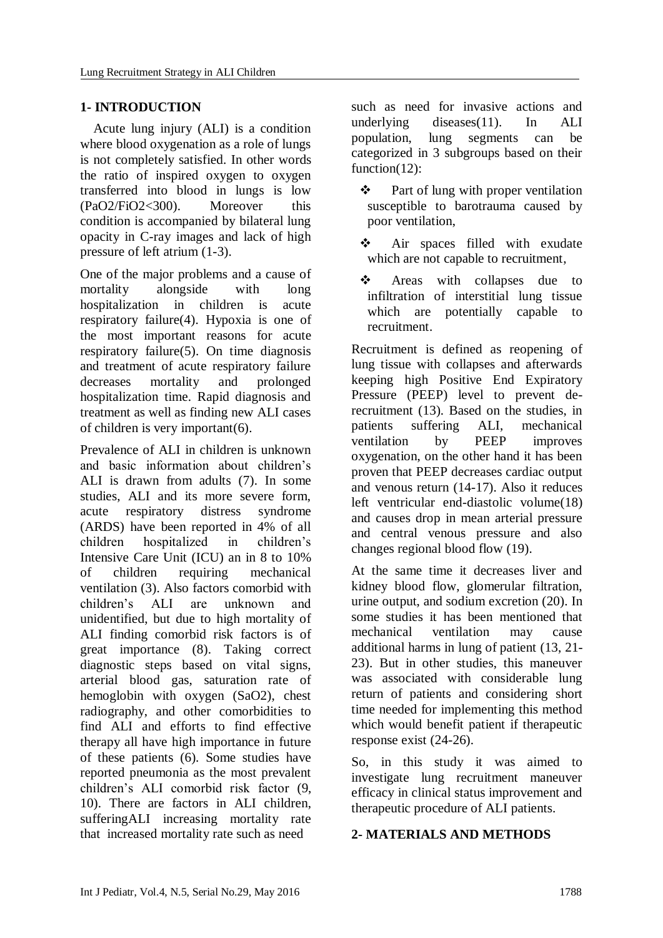# **1- INTRODUCTION**

 Acute lung injury (ALI) is a condition where blood oxygenation as a role of lungs is not completely satisfied. In other words the ratio of inspired oxygen to oxygen transferred into blood in lungs is low (PaO2/FiO2<300). Moreover this condition is accompanied by bilateral lung opacity in C-ray images and lack of high pressure of left atrium [\(1-3\)](#page-5-0).

One of the major problems and a cause of mortality alongside with long hospitalization in children is acute respiratory failure[\(4\)](#page-5-1). Hypoxia is one of the most important reasons for acute respiratory failure[\(5\)](#page-5-2). On time diagnosis and treatment of acute respiratory failure decreases mortality and prolonged hospitalization time. Rapid diagnosis and treatment as well as finding new ALI cases of children is very important[\(6\)](#page-6-0).

Prevalence of ALI in children is unknown and basic information about children's ALI is drawn from adults [\(7\)](#page-6-1). In some studies, ALI and its more severe form, acute respiratory distress syndrome (ARDS) have been reported in 4% of all children hospitalized in children's Intensive Care Unit (ICU) an in 8 to 10% of children requiring mechanical ventilation [\(3\)](#page-5-3). Also factors comorbid with children's ALI are unknown and unidentified, but due to high mortality of ALI finding comorbid risk factors is of great importance [\(8\)](#page-6-2). Taking correct diagnostic steps based on vital signs, arterial blood gas, saturation rate of hemoglobin with oxygen (SaO2), chest radiography, and other comorbidities to find ALI and efforts to find effective therapy all have high importance in future of these patients [\(6\)](#page-6-0). Some studies have reported pneumonia as the most prevalent children's ALI comorbid risk factor [\(9,](#page-6-3) [10\)](#page-6-4). There are factors in ALI children, sufferingALI increasing mortality rate that increased mortality rate such as need **2- MATERIALS AND METHODS**

such as need for invasive actions and underlying diseases[\(11\)](#page-6-5). In ALI population, lung segments can be categorized in 3 subgroups based on their function[\(12\)](#page-6-6):

- $\triangle$  Part of lung with proper ventilation susceptible to barotrauma caused by poor ventilation,
- Air spaces filled with exudate which are not capable to recruitment,
- Areas with collapses due to infiltration of interstitial lung tissue which are potentially capable to recruitment.

Recruitment is defined as reopening of lung tissue with collapses and afterwards keeping high Positive End Expiratory Pressure (PEEP) level to prevent derecruitment [\(13\)](#page-6-7). Based on the studies, in patients suffering ALI, mechanical ventilation by PEEP improves oxygenation, on the other hand it has been proven that PEEP decreases cardiac output and venous return [\(14-17\)](#page-6-8). Also it reduces left ventricular end-diastolic volume[\(18\)](#page-6-9) and causes drop in mean arterial pressure and central venous pressure and also changes regional blood flow [\(19\)](#page-6-10).

At the same time it decreases liver and kidney blood flow, glomerular filtration, urine output, and sodium excretion [\(20\)](#page-6-11). In some studies it has been mentioned that mechanical ventilation may cause additional harms in lung of patient [\(13,](#page-6-7) [21-](#page-6-12) [23\)](#page-6-12). But in other studies, this maneuver was associated with considerable lung return of patients and considering short time needed for implementing this method which would benefit patient if therapeutic response exist [\(24-26\)](#page-7-0).

So, in this study it was aimed to investigate lung recruitment maneuver efficacy in clinical status improvement and therapeutic procedure of ALI patients.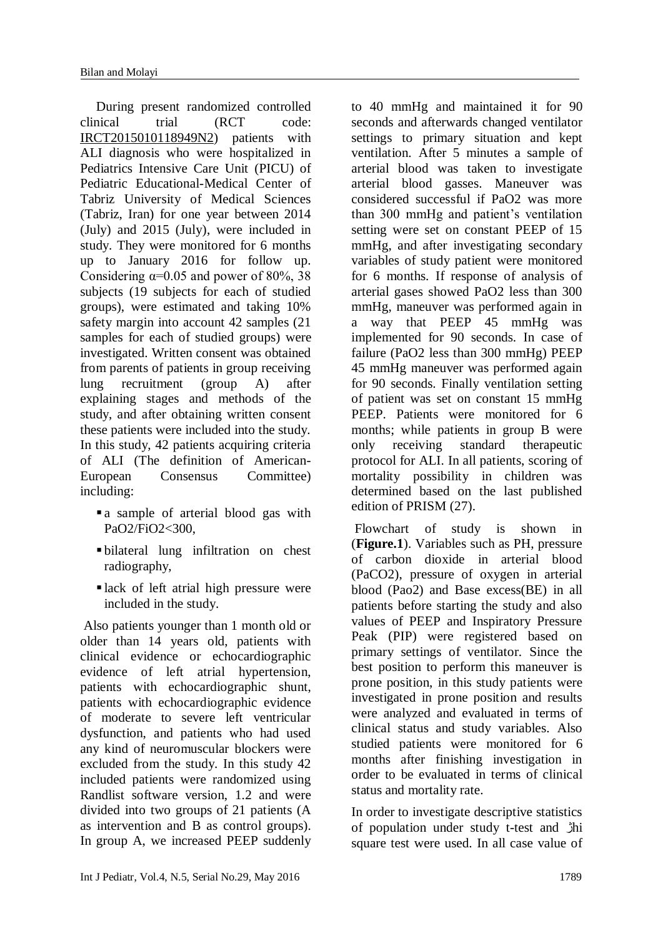During present randomized controlled clinical trial (RCT code: IRCT2015010118949N2) patients with ALI diagnosis who were hospitalized in Pediatrics Intensive Care Unit (PICU) of Pediatric Educational-Medical Center of Tabriz University of Medical Sciences (Tabriz, Iran) for one year between 2014 (July) and 2015 (July), were included in study. They were monitored for 6 months up to January 2016 for follow up. Considering  $\alpha=0.05$  and power of 80%, 38 subjects (19 subjects for each of studied groups), were estimated and taking 10% safety margin into account 42 samples (21 samples for each of studied groups) were investigated. Written consent was obtained from parents of patients in group receiving lung recruitment (group A) after explaining stages and methods of the study, and after obtaining written consent these patients were included into the study. In this study, 42 patients acquiring criteria of ALI (The definition of American-European Consensus Committee) including:

- a sample of arterial blood gas with PaO2/FiO2<300,
- bilateral lung infiltration on chest radiography,
- lack of left atrial high pressure were included in the study.

Also patients younger than 1 month old or older than 14 years old, patients with clinical evidence or echocardiographic evidence of left atrial hypertension, patients with echocardiographic shunt, patients with echocardiographic evidence of moderate to severe left ventricular dysfunction, and patients who had used any kind of neuromuscular blockers were excluded from the study. In this study 42 included patients were randomized using Randlist software version, 1.2 and were divided into two groups of 21 patients (A as intervention and B as control groups). In group A, we increased PEEP suddenly

to 40 mmHg and maintained it for 90 seconds and afterwards changed ventilator settings to primary situation and kept ventilation. After 5 minutes a sample of arterial blood was taken to investigate arterial blood gasses. Maneuver was considered successful if PaO2 was more than 300 mmHg and patient's ventilation setting were set on constant PEEP of 15 mmHg, and after investigating secondary variables of study patient were monitored for 6 months. If response of analysis of arterial gases showed PaO2 less than 300 mmHg, maneuver was performed again in a way that PEEP 45 mmHg was implemented for 90 seconds. In case of failure (PaO2 less than 300 mmHg) PEEP 45 mmHg maneuver was performed again for 90 seconds. Finally ventilation setting of patient was set on constant 15 mmHg PEEP. Patients were monitored for 6 months; while patients in group B were only receiving standard therapeutic protocol for ALI. In all patients, scoring of mortality possibility in children was determined based on the last published edition of PRISM [\(27\)](#page-7-1).

Flowchart of study is shown in (**Figure.1**). Variables such as PH, pressure of carbon dioxide in arterial blood (PaCO2), pressure of oxygen in arterial blood (Pao2) and Base excess(BE) in all patients before starting the study and also values of PEEP and Inspiratory Pressure Peak (PIP) were registered based on primary settings of ventilator. Since the best position to perform this maneuver is prone position, in this study patients were investigated in prone position and results were analyzed and evaluated in terms of clinical status and study variables. Also studied patients were monitored for 6 months after finishing investigation in order to be evaluated in terms of clinical status and mortality rate.

In order to investigate descriptive statistics of population under study t-test and ژhi square test were used. In all case value of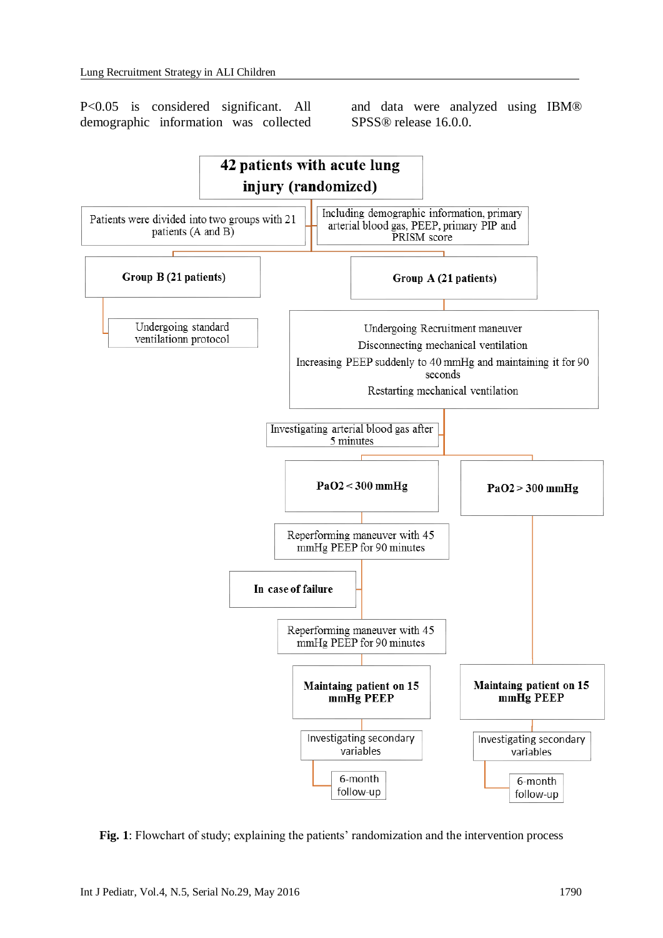P<0.05 is considered significant. All demographic information was collected and data were analyzed using IBM® SPSS® release 16.0.0.



**Fig. 1**: Flowchart of study; explaining the patients' randomization and the intervention process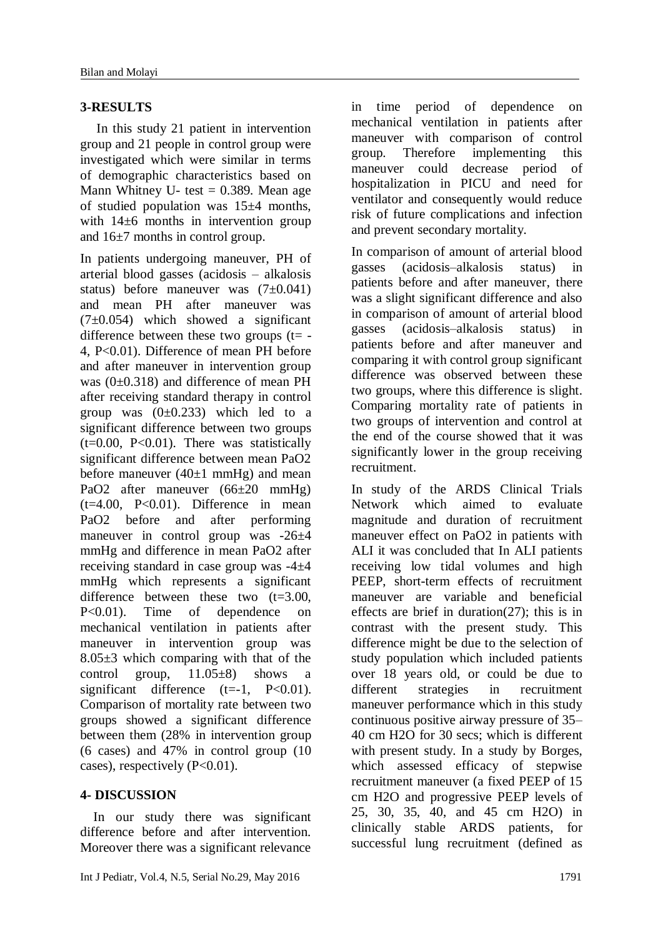# **3-RESULTS**

 In this study 21 patient in intervention group and 21 people in control group were investigated which were similar in terms of demographic characteristics based on Mann Whitney U- test  $= 0.389$ . Mean age of studied population was  $15±4$  months, with 14±6 months in intervention group and 16±7 months in control group.

In patients undergoing maneuver, PH of arterial blood gasses (acidosis – alkalosis status) before maneuver was  $(7\pm0.041)$ and mean PH after maneuver was  $(7\pm0.054)$  which showed a significant difference between these two groups  $(t= -$ 4, P<0.01). Difference of mean PH before and after maneuver in intervention group was (0±0.318) and difference of mean PH after receiving standard therapy in control group was  $(0\pm 0.233)$  which led to a significant difference between two groups  $(t=0.00, P<0.01)$ . There was statistically significant difference between mean PaO2 before maneuver  $(40\pm1$  mmHg) and mean PaO2 after maneuver (66±20 mmHg)  $(t=4.00, P<0.01)$ . Difference in mean PaO2 before and after performing maneuver in control group was -26±4 mmHg and difference in mean PaO2 after receiving standard in case group was -4±4 mmHg which represents a significant difference between these two  $(t=3.00)$ . P<0.01). Time of dependence on mechanical ventilation in patients after maneuver in intervention group was 8.05±3 which comparing with that of the control group, 11.05±8) shows a significant difference  $(t=-1, P<0.01)$ . Comparison of mortality rate between two groups showed a significant difference between them (28% in intervention group (6 cases) and 47% in control group (10 cases), respectively  $(P<0.01)$ .

### **4- DISCUSSION**

 In our study there was significant difference before and after intervention. Moreover there was a significant relevance in time period of dependence on mechanical ventilation in patients after maneuver with comparison of control group. Therefore implementing this maneuver could decrease period of hospitalization in PICU and need for ventilator and consequently would reduce risk of future complications and infection and prevent secondary mortality.

In comparison of amount of arterial blood gasses (acidosis–alkalosis status) in patients before and after maneuver, there was a slight significant difference and also in comparison of amount of arterial blood gasses (acidosis–alkalosis status) in patients before and after maneuver and comparing it with control group significant difference was observed between these two groups, where this difference is slight. Comparing mortality rate of patients in two groups of intervention and control at the end of the course showed that it was significantly lower in the group receiving recruitment.

In study of the ARDS Clinical Trials Network which aimed to evaluate magnitude and duration of recruitment maneuver effect on PaO2 in patients with ALI it was concluded that In ALI patients receiving low tidal volumes and high PEEP, short-term effects of recruitment maneuver are variable and beneficial effects are brief in duration[\(27\)](#page-7-1); this is in contrast with the present study. This difference might be due to the selection of study population which included patients over 18 years old, or could be due to different strategies in recruitment maneuver performance which in this study continuous positive airway pressure of 35– 40 cm H2O for 30 secs; which is different with present study. In a study by Borges, which assessed efficacy of stepwise recruitment maneuver (a fixed PEEP of 15 cm H2O and progressive PEEP levels of 25, 30, 35, 40, and 45 cm H2O) in clinically stable ARDS patients, for successful lung recruitment (defined as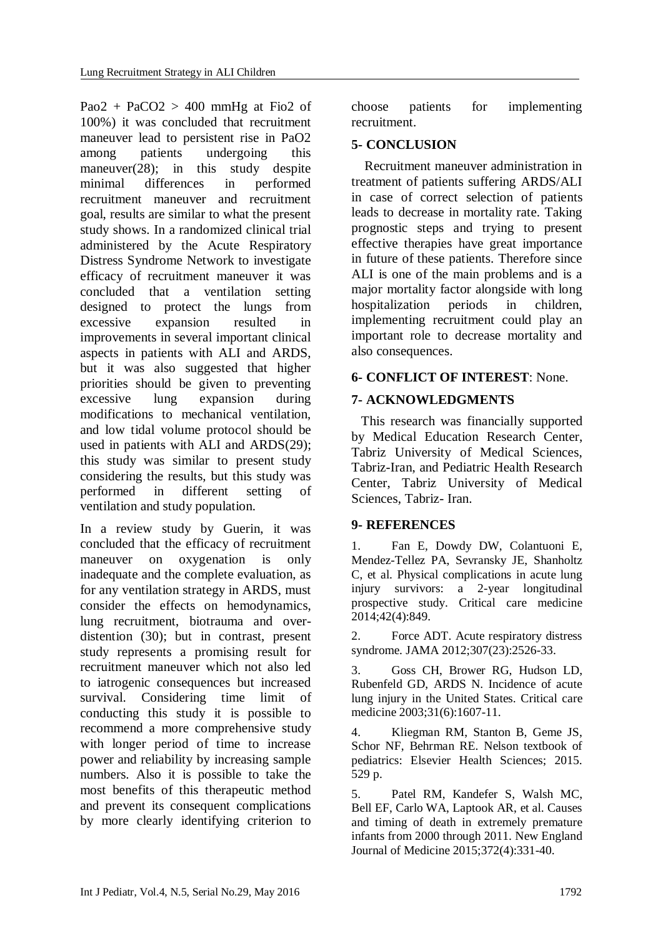Pao2 + PaCO2 > 400 mmHg at Fio2 of 100%) it was concluded that recruitment maneuver lead to persistent rise in PaO2 among patients undergoing this maneuver[\(28\)](#page-7-2); in this study despite minimal differences in performed recruitment maneuver and recruitment goal, results are similar to what the present study shows. In a randomized clinical trial administered by the Acute Respiratory Distress Syndrome Network to investigate efficacy of recruitment maneuver it was concluded that a ventilation setting designed to protect the lungs from excessive expansion resulted in improvements in several important clinical aspects in patients with ALI and ARDS, but it was also suggested that higher priorities should be given to preventing excessive lung expansion during modifications to mechanical ventilation, and low tidal volume protocol should be used in patients with ALI and ARDS[\(29\)](#page-7-3); this study was similar to present study considering the results, but this study was performed in different setting of ventilation and study population.

In a review study by Guerin, it was concluded that the efficacy of recruitment maneuver on oxygenation is only inadequate and the complete evaluation, as for any ventilation strategy in ARDS, must consider the effects on hemodynamics, lung recruitment, biotrauma and overdistention [\(30\)](#page-7-4); but in contrast, present study represents a promising result for recruitment maneuver which not also led to iatrogenic consequences but increased survival. Considering time limit of conducting this study it is possible to recommend a more comprehensive study with longer period of time to increase power and reliability by increasing sample numbers. Also it is possible to take the most benefits of this therapeutic method and prevent its consequent complications by more clearly identifying criterion to

choose patients for implementing recruitment.

# **5- CONCLUSION**

 Recruitment maneuver administration in treatment of patients suffering ARDS/ALI in case of correct selection of patients leads to decrease in mortality rate. Taking prognostic steps and trying to present effective therapies have great importance in future of these patients. Therefore since ALI is one of the main problems and is a major mortality factor alongside with long hospitalization periods in children, implementing recruitment could play an important role to decrease mortality and also consequences.

# **6- CONFLICT OF INTEREST**: None.

# **7- ACKNOWLEDGMENTS**

 This research was financially supported by Medical Education Research Center, Tabriz University of Medical Sciences, Tabriz-Iran, and Pediatric Health Research Center, Tabriz University of Medical Sciences, Tabriz- Iran.

# **9- REFERENCES**

<span id="page-5-0"></span>1. Fan E, Dowdy DW, Colantuoni E, Mendez-Tellez PA, Sevransky JE, Shanholtz C, et al. Physical complications in acute lung injury survivors: a 2-year longitudinal prospective study. Critical care medicine 2014;42(4):849.

2. Force ADT. Acute respiratory distress syndrome. JAMA 2012;307(23):2526-33.

<span id="page-5-3"></span>3. Goss CH, Brower RG, Hudson LD, Rubenfeld GD, ARDS N. Incidence of acute lung injury in the United States. Critical care medicine 2003;31(6):1607-11.

<span id="page-5-1"></span>4. Kliegman RM, Stanton B, Geme JS, Schor NF, Behrman RE. Nelson textbook of pediatrics: Elsevier Health Sciences; 2015. 529 p.

<span id="page-5-2"></span>5. Patel RM, Kandefer S, Walsh MC, Bell EF, Carlo WA, Laptook AR, et al. Causes and timing of death in extremely premature infants from 2000 through 2011. New England Journal of Medicine 2015;372(4):331-40.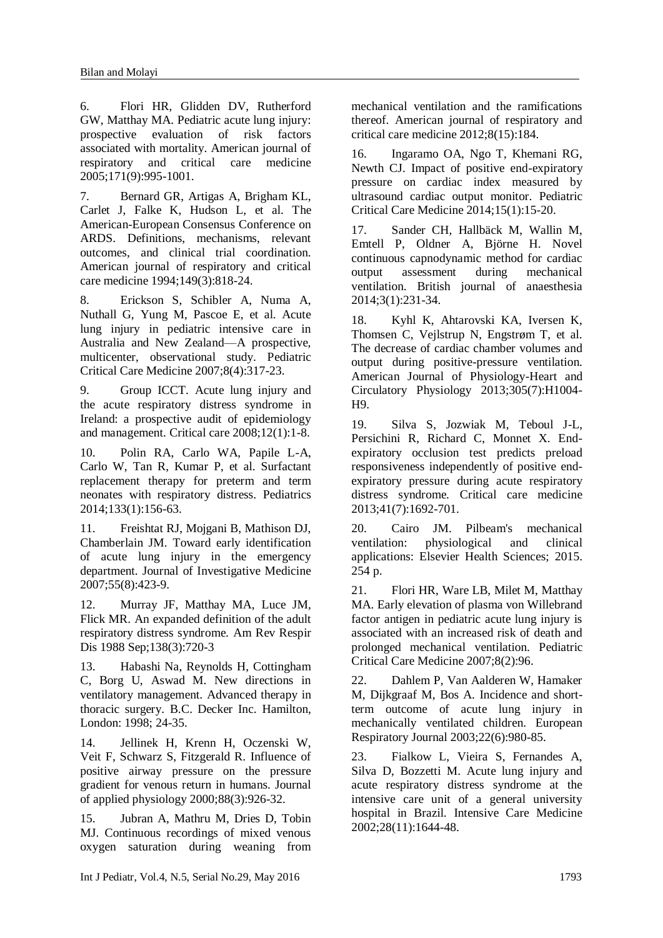<span id="page-6-0"></span>6. Flori HR, Glidden DV, Rutherford GW, Matthay MA. Pediatric acute lung injury: prospective evaluation of risk factors associated with mortality. American journal of respiratory and critical care medicine 2005;171(9):995-1001.

<span id="page-6-1"></span>7. Bernard GR, Artigas A, Brigham KL, Carlet J, Falke K, Hudson L, et al. The American-European Consensus Conference on ARDS. Definitions, mechanisms, relevant outcomes, and clinical trial coordination. American journal of respiratory and critical care medicine 1994;149(3):818-24.

<span id="page-6-2"></span>8. Erickson S, Schibler A, Numa A, Nuthall G, Yung M, Pascoe E, et al. Acute lung injury in pediatric intensive care in Australia and New Zealand—A prospective, multicenter, observational study. Pediatric Critical Care Medicine 2007;8(4):317-23.

<span id="page-6-3"></span>9. Group ICCT. Acute lung injury and the acute respiratory distress syndrome in Ireland: a prospective audit of epidemiology and management. Critical care 2008;12(1):1-8.

<span id="page-6-4"></span>10. Polin RA, Carlo WA, Papile L-A, Carlo W, Tan R, Kumar P, et al. Surfactant replacement therapy for preterm and term neonates with respiratory distress. Pediatrics 2014;133(1):156-63.

<span id="page-6-5"></span>11. Freishtat RJ, Mojgani B, Mathison DJ, Chamberlain JM. Toward early identification of acute lung injury in the emergency department. Journal of Investigative Medicine 2007;55(8):423-9.

<span id="page-6-6"></span>12. Murray JF, Matthay MA, Luce JM, Flick MR. An expanded definition of the adult respiratory distress syndrome. Am Rev Respir Dis 1988 Sep;138(3):720-3

13. Habashi Na, Reynolds H, Cottingham C, Borg U, Aswad M. New directions in ventilatory management. Advanced therapy in thoracic surgery. B.C. Decker Inc. Hamilton, London: 1998; 24-35.

<span id="page-6-8"></span>14. Jellinek H, Krenn H, Oczenski W, Veit F, Schwarz S, Fitzgerald R. Influence of positive airway pressure on the pressure gradient for venous return in humans. Journal of applied physiology 2000;88(3):926-32.

15. Jubran A, Mathru M, Dries D, Tobin MJ. Continuous recordings of mixed venous oxygen saturation during weaning from mechanical ventilation and the ramifications thereof. American journal of respiratory and critical care medicine 2012;8(15):184.

16. Ingaramo OA, Ngo T, Khemani RG, Newth CJ. Impact of positive end-expiratory pressure on cardiac index measured by ultrasound cardiac output monitor. Pediatric Critical Care Medicine 2014;15(1):15-20.

17. Sander CH, Hallbäck M, Wallin M, Emtell P, Oldner A, Björne H. Novel continuous capnodynamic method for cardiac output assessment during mechanical ventilation. British journal of anaesthesia 2014;3(1):231-34.

<span id="page-6-9"></span>18. Kyhl K, Ahtarovski KA, Iversen K, Thomsen C, Vejlstrup N, Engstrøm T, et al. The decrease of cardiac chamber volumes and output during positive-pressure ventilation. American Journal of Physiology-Heart and Circulatory Physiology 2013;305(7):H1004- H9.

<span id="page-6-10"></span>19. Silva S, Jozwiak M, Teboul J-L, Persichini R, Richard C, Monnet X. Endexpiratory occlusion test predicts preload responsiveness independently of positive endexpiratory pressure during acute respiratory distress syndrome. Critical care medicine 2013;41(7):1692-701.

<span id="page-6-11"></span>20. Cairo JM. Pilbeam's mechanical ventilation: physiological and clinical applications: Elsevier Health Sciences; 2015. 254 p.

<span id="page-6-12"></span><span id="page-6-7"></span>21. Flori HR, Ware LB, Milet M, Matthay MA. Early elevation of plasma von Willebrand factor antigen in pediatric acute lung injury is associated with an increased risk of death and prolonged mechanical ventilation. Pediatric Critical Care Medicine 2007;8(2):96.

22. Dahlem P, Van Aalderen W, Hamaker M, Dijkgraaf M, Bos A. Incidence and shortterm outcome of acute lung injury in mechanically ventilated children. European Respiratory Journal 2003;22(6):980-85.

23. Fialkow L, Vieira S, Fernandes A, Silva D, Bozzetti M. Acute lung injury and acute respiratory distress syndrome at the intensive care unit of a general university hospital in Brazil. Intensive Care Medicine 2002;28(11):1644-48.